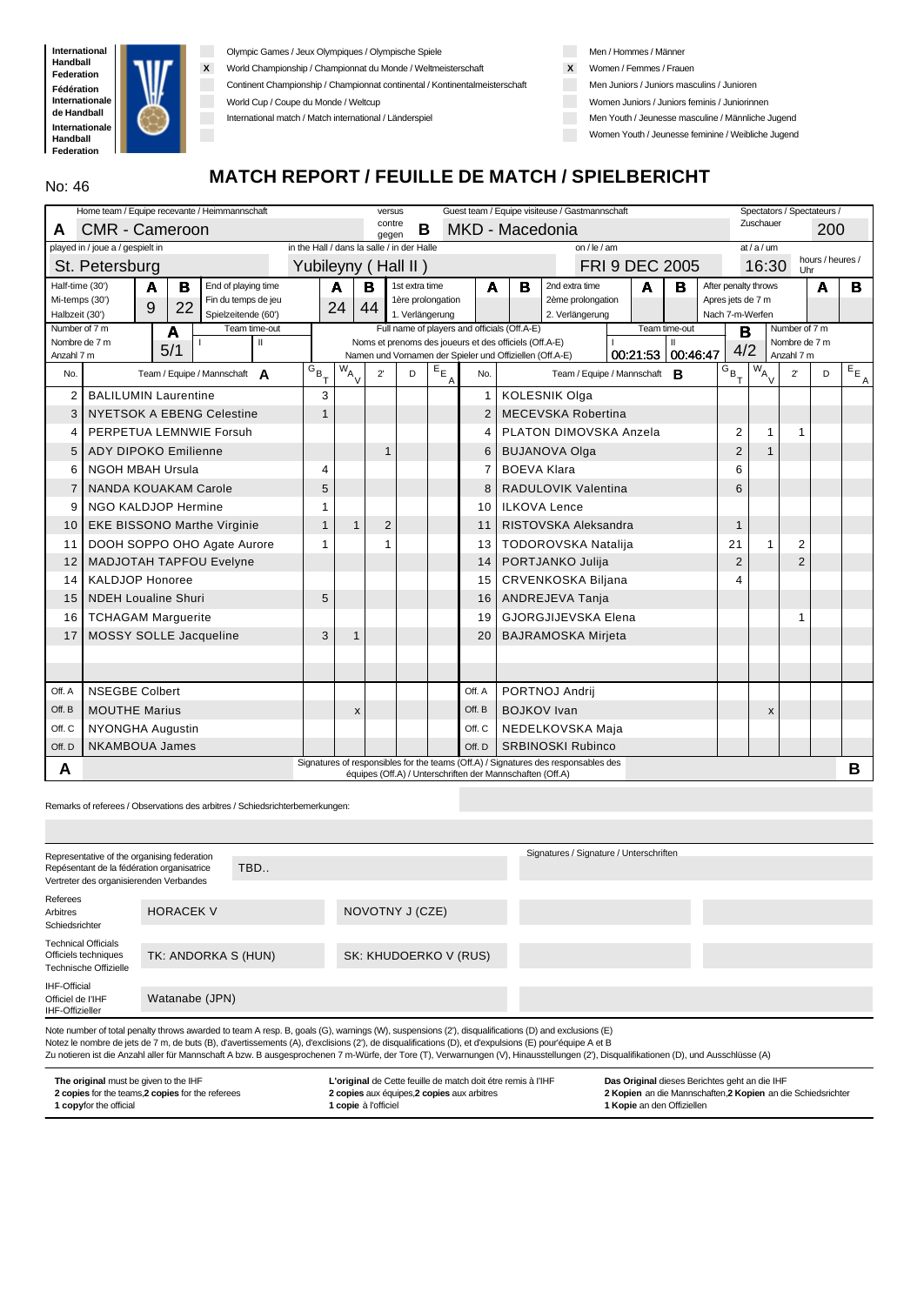

Olympic Games / Jeux Olympiques / Olympische Spiele

**X** World Championship / Championnat du Monde / Weltmeisterschaft

Continent Championship / Championnat continental / Kontinentalmeisterschaft

World Cup / Coupe du Monde / Weltcup

International match / Match international / Länderspiel

Men / Hommes / Männer

- **X** Women / Femmes / Frauen
	- Men Juniors / Juniors masculins / Junioren
- Women Juniors / Juniors feminis / Juniorinnen
- Men Youth / Jeunesse masculine / Männliche Jugend
- Women Youth / Jeunesse feminine / Weibliche Jugend

# **MATCH REPORT / FEUILLE DE MATCH / SPIELBERICHT**

|                                  | Home team / Equipe recevante / Heimmannschaft         |                                            |                      | versus          |                                      |              |        |                                                           | Guest team / Equipe visiteuse / Gastmannschaft                                     |                       |               |                                      |                                      | Spectators / Spectateurs / |                  |                          |
|----------------------------------|-------------------------------------------------------|--------------------------------------------|----------------------|-----------------|--------------------------------------|--------------|--------|-----------------------------------------------------------|------------------------------------------------------------------------------------|-----------------------|---------------|--------------------------------------|--------------------------------------|----------------------------|------------------|--------------------------|
| A                                | <b>CMR - Cameroon</b>                                 |                                            |                      | contre<br>gegen | В                                    |              |        | MKD - Macedonia                                           |                                                                                    |                       |               |                                      | Zuschauer                            |                            | 200              |                          |
|                                  | played in / joue a / gespielt in                      | in the Hall / dans la salle / in der Halle |                      |                 |                                      |              |        |                                                           | on / le / am                                                                       |                       |               |                                      | at/a/um                              |                            |                  |                          |
|                                  | St. Petersburg                                        | Yubileyny (Hall II)                        |                      |                 |                                      |              |        |                                                           |                                                                                    | <b>FRI 9 DEC 2005</b> |               |                                      | 16:30                                | Uhr                        | hours / heures / |                          |
| Half-time (30')                  | в<br>End of playing time<br>A                         |                                            | A                    | в               | 1st extra time                       |              | A      | в                                                         | 2nd extra time                                                                     | A                     | в             |                                      | After penalty throws                 |                            | Α                | в                        |
| Mi-temps (30')<br>Halbzeit (30') | Fin du temps de jeu<br>22<br>9<br>Spielzeitende (60') |                                            | 24                   | 44              | 1ère prolongation<br>1. Verlängerung |              |        |                                                           | 2ème prolongation<br>2. Verlängerung                                               |                       |               | Apres jets de 7 m<br>Nach 7-m-Werfen |                                      |                            |                  |                          |
| Number of 7 m                    | Team time-out<br>A                                    |                                            |                      |                 |                                      |              |        | Full name of players and officials (Off.A-E)              |                                                                                    |                       | Team time-out | B                                    |                                      | Number of 7 m              |                  |                          |
| Nombre de 7 m                    | Ш<br>5/1                                              |                                            |                      |                 |                                      |              |        | Noms et prenoms des joueurs et des officiels (Off.A-E)    |                                                                                    |                       | $\mathbf{II}$ | 4/2                                  |                                      | Nombre de 7 m              |                  |                          |
| Anzahl 7 m                       |                                                       |                                            |                      |                 |                                      |              |        | Namen und Vornamen der Spieler und Offiziellen (Off.A-E)  |                                                                                    | 00:21:53 00:46:47     |               |                                      |                                      | Anzahl 7 m                 |                  |                          |
| No.                              | Team / Equipe / Mannschaft A                          | $G_{B}$ <sub>T</sub>                       | $W_{A}$ <sub>V</sub> | $2^{\prime}$    | D                                    | $E_{E}$<br>A | No.    |                                                           | Team / Equipe / Mannschaft <b>B</b>                                                |                       |               | $\overline{G}_{B}$ <sub>T</sub>      | $\sqrt{w}$ <sub>A<sub>V</sub>I</sub> | $2^{\prime}$               | D                | $E_{E_{\underline{A}}},$ |
| $\overline{2}$                   | <b>BALILUMIN Laurentine</b>                           | 3                                          |                      |                 |                                      |              | 1      |                                                           | <b>KOLESNIK Olga</b>                                                               |                       |               |                                      |                                      |                            |                  |                          |
| 3                                | <b>NYETSOK A EBENG Celestine</b>                      | 1                                          |                      |                 |                                      |              |        |                                                           | <b>MECEVSKA Robertina</b>                                                          |                       |               |                                      |                                      |                            |                  |                          |
| 4                                | PERPETUA LEMNWIE Forsuh                               |                                            |                      |                 |                                      |              | 4      |                                                           | <b>PLATON DIMOVSKA Anzela</b>                                                      |                       |               | $\overline{2}$                       | 1                                    | 1                          |                  |                          |
| 5                                | <b>ADY DIPOKO Emilienne</b>                           |                                            |                      | 1               |                                      |              | 6      |                                                           | <b>BUJANOVA Olga</b>                                                               |                       |               | $\overline{2}$                       |                                      |                            |                  |                          |
| 6                                | <b>NGOH MBAH Ursula</b>                               | 4                                          |                      |                 |                                      |              |        | <b>BOEVA Klara</b>                                        |                                                                                    |                       |               | 6                                    |                                      |                            |                  |                          |
| $\overline{7}$                   | <b>NANDA KOUAKAM Carole</b>                           | 5                                          |                      |                 |                                      |              | 8      |                                                           | RADULOVIK Valentina                                                                |                       |               | 6                                    |                                      |                            |                  |                          |
| 9                                | NGO KALDJOP Hermine                                   | 1                                          |                      |                 |                                      |              | 10     |                                                           | <b>ILKOVA Lence</b>                                                                |                       |               |                                      |                                      |                            |                  |                          |
| 10                               | <b>EKE BISSONO Marthe Virginie</b>                    | 1                                          | $\mathbf{1}$         | $\overline{2}$  |                                      |              | 11     |                                                           | RISTOVSKA Aleksandra                                                               |                       |               | $\mathbf{1}$                         |                                      |                            |                  |                          |
| 11                               | DOOH SOPPO OHO Agate Aurore                           | 1                                          |                      |                 |                                      |              | 13     |                                                           | <b>TODOROVSKA Natalija</b>                                                         |                       |               | 21                                   |                                      | 2                          |                  |                          |
| 12                               | <b>MADJOTAH TAPFOU Evelyne</b>                        |                                            |                      |                 |                                      |              | 14     |                                                           | PORTJANKO Julija                                                                   |                       |               | $\overline{2}$                       |                                      | $\overline{2}$             |                  |                          |
| 14                               | <b>KALDJOP Honoree</b>                                |                                            |                      |                 |                                      |              | 15     |                                                           | <b>CRVENKOSKA Biljana</b>                                                          |                       |               | 4                                    |                                      |                            |                  |                          |
| 15                               | <b>NDEH Loualine Shuri</b>                            | 5                                          |                      |                 |                                      |              | 16     |                                                           | ANDREJEVA Tanja                                                                    |                       |               |                                      |                                      |                            |                  |                          |
| 16                               | <b>TCHAGAM Marguerite</b>                             |                                            |                      |                 |                                      |              | 19     |                                                           | <b>GJORGJIJEVSKA Elena</b>                                                         |                       |               |                                      |                                      | 1                          |                  |                          |
| 17                               | MOSSY SOLLE Jacqueline                                | 3                                          | $\mathbf{1}$         |                 |                                      |              | 20     |                                                           | <b>BAJRAMOSKA Mirjeta</b>                                                          |                       |               |                                      |                                      |                            |                  |                          |
|                                  |                                                       |                                            |                      |                 |                                      |              |        |                                                           |                                                                                    |                       |               |                                      |                                      |                            |                  |                          |
|                                  |                                                       |                                            |                      |                 |                                      |              |        |                                                           |                                                                                    |                       |               |                                      |                                      |                            |                  |                          |
| Off. A                           | <b>NSEGBE Colbert</b>                                 |                                            |                      |                 |                                      |              | Off. A |                                                           | PORTNOJ Andrij                                                                     |                       |               |                                      |                                      |                            |                  |                          |
| Off. B                           | <b>MOUTHE Marius</b>                                  |                                            | X                    |                 |                                      |              | Off. B |                                                           | <b>BOJKOV</b> Ivan                                                                 |                       |               |                                      | X                                    |                            |                  |                          |
| Off. C                           | <b>NYONGHA Augustin</b>                               |                                            |                      |                 |                                      |              | Off. C |                                                           | NEDELKOVSKA Maja                                                                   |                       |               |                                      |                                      |                            |                  |                          |
| Off. D                           | <b>NKAMBOUA James</b>                                 |                                            |                      |                 |                                      |              | Off. D |                                                           | <b>SRBINOSKI Rubinco</b>                                                           |                       |               |                                      |                                      |                            |                  |                          |
| A                                |                                                       |                                            |                      |                 |                                      |              |        | équipes (Off.A) / Unterschriften der Mannschaften (Off.A) | Signatures of responsibles for the teams (Off.A) / Signatures des responsables des |                       |               |                                      |                                      |                            |                  | В                        |
|                                  |                                                       |                                            |                      |                 |                                      |              |        |                                                           |                                                                                    |                       |               |                                      |                                      |                            |                  |                          |

Remarks of referees / Observations des arbitres / Schiedsrichterbemerkungen:

| Representative of the organising federation<br>Repésentant de la fédération organisatrice<br>Vertreter des organisierenden Verbandes |                     | TBD |                                                                                                                                                                                                                                                                                                                                                                                                                                                                                                        | Signatures / Signature / Unterschriften |  |
|--------------------------------------------------------------------------------------------------------------------------------------|---------------------|-----|--------------------------------------------------------------------------------------------------------------------------------------------------------------------------------------------------------------------------------------------------------------------------------------------------------------------------------------------------------------------------------------------------------------------------------------------------------------------------------------------------------|-----------------------------------------|--|
| Referees<br>Arbitres<br>Schiedsrichter                                                                                               | <b>HORACEK V</b>    |     | NOVOTNY J (CZE)                                                                                                                                                                                                                                                                                                                                                                                                                                                                                        |                                         |  |
| <b>Technical Officials</b><br>Officiels techniques<br>Technische Offizielle                                                          | TK: ANDORKA S (HUN) |     | SK: KHUDOERKO V (RUS)                                                                                                                                                                                                                                                                                                                                                                                                                                                                                  |                                         |  |
| IHF-Official<br>Officiel de l'IHF<br><b>IHF-Offizieller</b>                                                                          | Watanabe (JPN)      |     |                                                                                                                                                                                                                                                                                                                                                                                                                                                                                                        |                                         |  |
|                                                                                                                                      |                     |     | Note number of total penalty throws awarded to team A resp. B, goals (G), warnings (W), suspensions (2'), disqualifications (D) and exclusions (E)<br>Notez le nombre de jets de 7 m, de buts (B), d'avertissements (A), d'exclisions (2'), de disqualifications (D), et d'expulsions (E) pour'équipe A et B<br>Zu notieren ist die Anzahl aller für Mannschaft A bzw. B ausgesprochenen 7 m-Würfe, der Tore (T), Verwarnungen (V), Hinausstellungen (2'), Disqualifikationen (D), und Ausschlüsse (A) |                                         |  |

| The original must be given to the IHF             | L'original de Cette feuille de match doit étre remis à l'IHF | Das Original dieses Berichtes geht an die IHF                |
|---------------------------------------------------|--------------------------------------------------------------|--------------------------------------------------------------|
| 2 copies for the teams, 2 copies for the referees | 2 copies aux équipes, 2 copies aux arbitres                  | 2 Kopien an die Mannschaften. 2 Kopien an die Schiedsrichter |
| <b>1 copy</b> for the official                    | <b>1 copie</b> à l'officiel                                  | <b>1 Kopie</b> an den Offiziellen                            |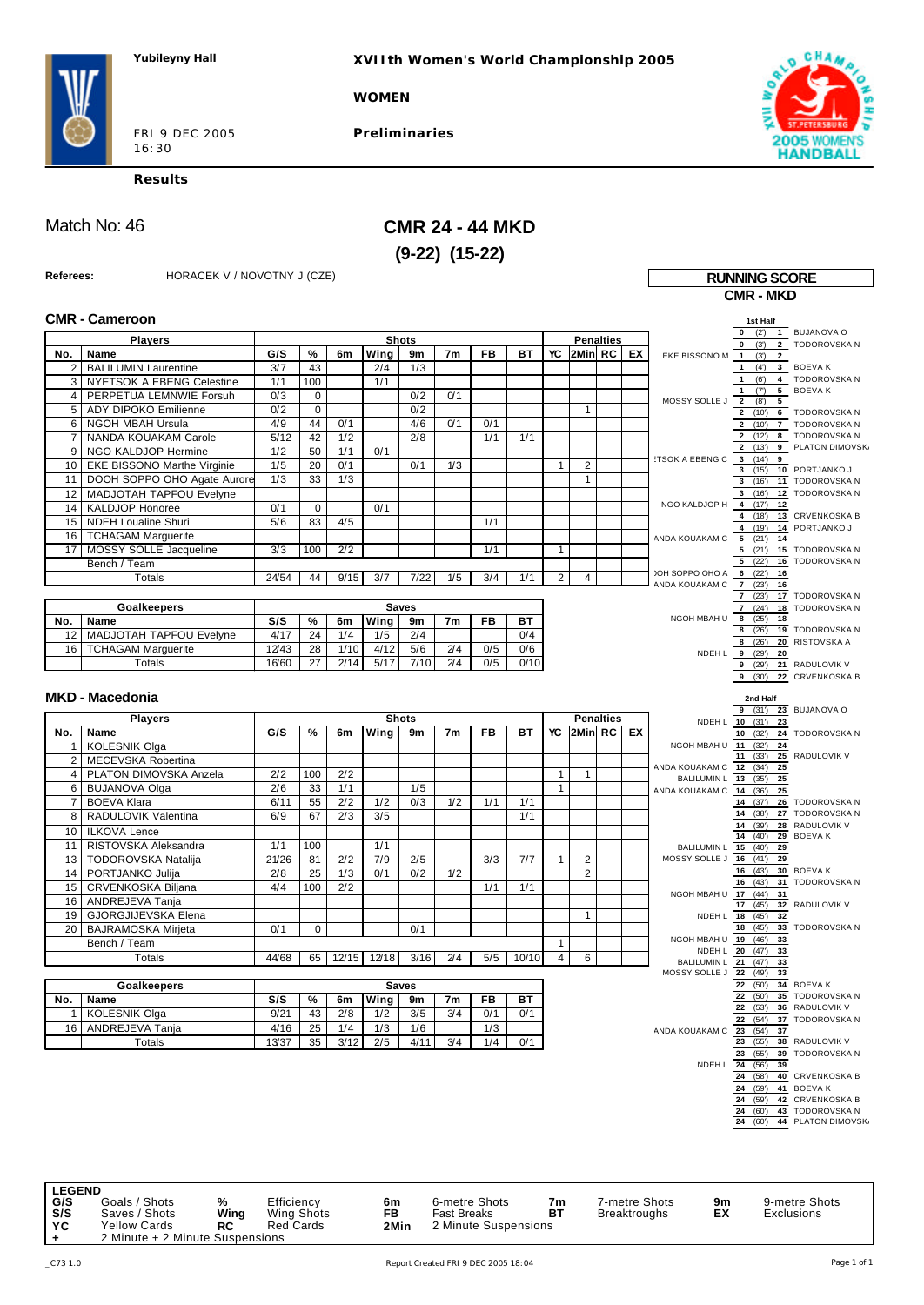**XVIIth Women's World Championship 2005**

**WOMEN**

FRI 9 DEC 2005 16:30

**Preliminaries**



**CMR - MKD**

**Results**

Match No: 46 **CMR 24 - 44 MKD (9-22) (15-22)** 

**Referees:** HORACEK V / NOVOTNY J (CZE) **RUNNING SCORE**

|                     | <b>CMR - Cameroon</b>              |       |             |      |             |                                      |                |           |           |                |                |                  |    |                                   | 1st Half                                                   |                                            |
|---------------------|------------------------------------|-------|-------------|------|-------------|--------------------------------------|----------------|-----------|-----------|----------------|----------------|------------------|----|-----------------------------------|------------------------------------------------------------|--------------------------------------------|
|                     | <b>Players</b>                     |       |             |      |             | <b>Shots</b>                         |                |           |           |                |                | <b>Penalties</b> |    |                                   | (3)<br>$\mathbf 0$                                         | (2') 1 BUJANOVA O<br>2 TODOROVSKA N        |
| No.                 | Name                               | G/S   | %           | 6m   | Wing        | 9m                                   | 7 <sub>m</sub> | <b>FB</b> | BT        | YC             | I2MinI RC I    |                  | EX | EKE BISSONO M                     | $\overline{1}$<br>(3)<br>$\overline{2}$                    |                                            |
| 2                   | <b>BALILUMIN Laurentine</b>        | 3/7   | 43          |      | 2/4         | 1/3                                  |                |           |           |                |                |                  |    |                                   | $\mathbf{1}$                                               | $(4')$ 3 BOEVAK                            |
| 3                   | NYETSOK A EBENG Celestine          | 1/1   | 100         |      | 1/1         |                                      |                |           |           |                |                |                  |    |                                   | (6')<br>$\mathbf{1}$                                       | 4 TODOROVSKA N                             |
| $\overline{4}$      | PERPETUA LEMNWIE Forsuh            | 0/3   | 0           |      |             | 0/2                                  | 0/1            |           |           |                |                |                  |    | MOSSY SOLLE J                     | (7)<br>$\mathbf{1}$<br>$\overline{\mathbf{2}}$<br>(8)<br>5 | 5 BOEVAK                                   |
| 5                   | ADY DIPOKO Emilienne               | 0/2   | $\mathbf 0$ |      |             | 0/2                                  |                |           |           |                | $\mathbf{1}$   |                  |    |                                   |                                                            | 2 (10') 6 TODOROVSKA N                     |
| 6                   | <b>NGOH MBAH Ursula</b>            | 4/9   | 44          | 0/1  |             | 4/6                                  | Q'1            | 0/1       |           |                |                |                  |    |                                   | 2(10)                                                      | 7 TODOROVSKA N                             |
| $\overline{7}$      | NANDA KOUAKAM Carole               | 5/12  | 42          | 1/2  |             | 2/8                                  |                | 1/1       | 1/1       |                |                |                  |    |                                   |                                                            | 2 (12') 8 TODOROVSKA N                     |
| 9                   | NGO KALDJOP Hermine                | 1/2   | 50          | 1/1  | 0/1         |                                      |                |           |           |                |                |                  |    |                                   | 2(13)                                                      | 9 PLATON DIMOVSK.                          |
| 10                  | <b>EKE BISSONO Marthe Virginie</b> | 1/5   | 20          | 0/1  |             | 0/1                                  | 1/3            |           |           | $\mathbf{1}$   | 2              |                  |    | :TSOK A EBENG C                   | $3(14)$ 9<br>3(15)                                         | 10 PORTJANKO J                             |
| 11                  | DOOH SOPPO OHO Agate Aurore        | 1/3   | 33          | 1/3  |             |                                      |                |           |           |                | $\mathbf{1}$   |                  |    |                                   |                                                            | 3 (16') 11 TODOROVSKA N                    |
| 12                  | MADJOTAH TAPFOU Evelyne            |       |             |      |             |                                      |                |           |           |                |                |                  |    |                                   | 3(16)                                                      | 12 TODOROVSKA N                            |
| 14                  | <b>KALDJOP Honoree</b>             | 0/1   | $\mathbf 0$ |      | 0/1         |                                      |                |           |           |                |                |                  |    | NGO KALDJOP H 4 (17') 12          |                                                            |                                            |
| 15                  | <b>NDEH Loualine Shuri</b>         | 5/6   | 83          | 4/5  |             |                                      |                | 1/1       |           |                |                |                  |    |                                   | 4(18)<br>4 (19')                                           | 13 CRVENKOSKA B<br>14 PORTJANKO J          |
| 16                  | <b>TCHAGAM Marguerite</b>          |       |             |      |             |                                      |                |           |           |                |                |                  |    | ANDA KOUAKAM C                    | 5(21)<br>14                                                |                                            |
| 17                  | MOSSY SOLLE Jacqueline             | 3/3   | 100         | 2/2  |             |                                      |                | 1/1       |           | $\mathbf{1}$   |                |                  |    |                                   | 5(21)                                                      | 15 TODOROVSKA N                            |
|                     | Bench / Team                       |       |             |      |             |                                      |                |           |           |                |                |                  |    |                                   | 5(22)                                                      | 16 TODOROVSKA N                            |
|                     | Totals                             | 24/54 | 44          | 9/15 | 3/7         | 7/22                                 | 1/5            | 3/4       | 1/1       | $\overline{2}$ | 4              |                  |    | JOH SOPPO OHO A<br>ANDA KOUAKAM C | $6$ (22')<br>16<br>7(23)                                   |                                            |
|                     |                                    |       |             |      |             |                                      |                |           |           |                |                |                  |    |                                   | 16<br>7(23)                                                | 17 TODOROVSKA N                            |
|                     | Goalkeepers                        |       |             |      |             | <b>Saves</b>                         |                |           |           |                |                |                  |    |                                   | 7(24)                                                      | 18 TODOROVSKA N                            |
| No.                 | Name                               | S/S   | %           | 6m   | Wing        | 9m                                   | 7m             | FB        | <b>BT</b> |                |                |                  |    | NGOH MBAH U                       | 8(25)<br>18                                                |                                            |
| 12                  | MADJOTAH TAPFOU Evelyne            | 4/17  | 24          | 1/4  | 1/5         | 2/4                                  |                |           | 0/4       |                |                |                  |    |                                   | 8(26)<br>8(26)                                             | 19 TODOROVSKA N<br>20 RISTOVSKA A          |
| 16                  | <b>TCHAGAM Marguerite</b>          | 12/43 | 28          | 1/10 | 4/12        | 5/6                                  | 2/4            | 0/5       | 0/6       |                |                |                  |    |                                   | NDEH L 9 (29')<br>20                                       |                                            |
|                     | Totals                             | 16/60 | 27          | 2/14 | 5/17        | 7/10                                 | 2/4            | 0/5       | 0/10      |                |                |                  |    |                                   | 9 (29)                                                     | 21 RADULOVIK V                             |
|                     |                                    |       |             |      |             |                                      |                |           |           |                |                |                  |    |                                   | 9 (30)                                                     | 22 CRVENKOSKA B                            |
|                     | <b>MKD - Macedonia</b>             |       |             |      |             |                                      |                |           |           |                |                |                  |    |                                   | 2nd Half                                                   |                                            |
|                     |                                    |       |             |      |             | <b>Shots</b>                         |                |           |           |                |                |                  |    |                                   |                                                            | 9 (31') 23 BUJANOVA O                      |
|                     | <b>Players</b><br>Name             | G/S   | %           | 6m   | Wing        |                                      | 7m             | FB        | ВT        |                | YC 2Min RC     | <b>Penalties</b> | EX |                                   | NDEH L 10 (31')<br>23                                      |                                            |
| No.<br>$\mathbf{1}$ | <b>KOLESNIK Olga</b>               |       |             |      |             | 9m                                   |                |           |           |                |                |                  |    | NGOH MBAH U 11 (32')              | 10(32)<br>24                                               | 24 TODOROVSKA N                            |
|                     | MECEVSKA Robertina                 |       |             |      |             |                                      |                |           |           |                |                |                  |    |                                   | 11(33)                                                     | 25 RADULOVIK V                             |
| 2<br>$\overline{4}$ | PLATON DIMOVSKA Anzela             | 2/2   | 100         | 2/2  |             |                                      |                |           |           | $\mathbf{1}$   | $\mathbf{1}$   |                  |    | ANDA KOUAKAM C 12 (34')           | 25                                                         |                                            |
| 6                   | <b>BUJANOVA Olga</b>               | 2/6   | 33          | 1/1  |             | 1/5                                  |                |           |           | $\mathbf{1}$   |                |                  |    | BALILUMIN L 13 (35')              | 25                                                         |                                            |
| $\overline{7}$      | <b>BOEVA Klara</b>                 | 6/11  | 55          | 2/2  | 1/2         | 0/3                                  | 1/2            | 1/1       | 1/1       |                |                |                  |    | ANDA KOUAKAM C 14 (36')           | 25<br>14 (37)                                              | 26 TODOROVSKA N                            |
| 8                   | RADULOVIK Valentina                | 6/9   | 67          | 2/3  | 3/5         |                                      |                |           | 1/1       |                |                |                  |    |                                   | 14(38)                                                     | 27 TODOROVSKA N                            |
|                     |                                    |       |             |      |             |                                      |                |           |           |                |                |                  |    |                                   | (39')<br>14                                                | 28 RADULOVIK V                             |
| 10                  | <b>ILKOVA Lence</b>                |       |             |      |             |                                      |                |           |           |                |                |                  |    |                                   | 14<br>(40)                                                 | 29 BOEVAK                                  |
| 11                  | RISTOVSKA Aleksandra               | 1/1   | 100         |      | 1/1         |                                      |                |           |           |                |                |                  |    | BALILUMIN L 15                    | (40)<br>29                                                 |                                            |
| 13                  | TODOROVSKA Natalija                | 21/26 | 81          | 2/2  | 7/9         | 2/5                                  |                | 3/3       | 7/7       | $\mathbf{1}$   | $\overline{c}$ |                  |    | MOSSY SOLLE J                     | $16$ (41)<br>29<br>$16$ $(43)$                             | 30 BOEVAK                                  |
| 14                  | PORTJANKO Julija                   | 2/8   | 25          | 1/3  | 0/1         | 0/2                                  | 1/2            |           |           |                | $\overline{2}$ |                  |    |                                   | $16$ $(43)$                                                | 31 TODOROVSKA N                            |
| 15                  | CRVENKOSKA Biljana                 | 4/4   | 100         | 2/2  |             |                                      |                | 1/1       | 1/1       |                |                |                  |    | NGOH MBAH U 17 (44')              | 31                                                         |                                            |
| 16                  | ANDREJEVA Tanja                    |       |             |      |             |                                      |                |           |           |                |                |                  |    |                                   | 17(45)                                                     | 32 RADULOVIK V                             |
| 19                  | GJORGJIJEVSKA Elena                |       |             |      |             |                                      |                |           |           |                | $\mathbf{1}$   |                  |    |                                   | NDEH L 18 (45')<br>32<br>18 (45')<br>33                    | TODOROVSKA N                               |
| 20                  | <b>BAJRAMOSKA Mirjeta</b>          | 0/1   | 0           |      |             | 0/1                                  |                |           |           |                |                |                  |    | NGOH MBAH U 19 (46')              | 33                                                         |                                            |
|                     | Bench / Team                       |       |             |      |             |                                      |                |           |           | $\mathbf{1}$   |                |                  |    |                                   | NDEH L 20 (47')<br>33                                      |                                            |
|                     | Totals                             | 44/68 | 65          |      | 12/15 12/18 | 3/16                                 | 2/4            | 5/5       | 10/10     | $\overline{4}$ | 6              |                  |    | BALILUMIN L 21                    | 33<br>(47)                                                 |                                            |
|                     |                                    |       |             |      |             |                                      |                |           |           |                |                |                  |    | MOSSY SOLLE J                     | 22<br>(49)<br>33                                           |                                            |
|                     | Goalkeepers                        |       |             |      |             | Saves                                |                |           |           |                |                |                  |    |                                   | (50)<br>22<br>22 (50')                                     | 34 BOEVAK<br>35 TODOROVSKA N               |
| No.                 | <b>Name</b>                        |       |             |      |             | $S/S$   %   6m   Wing   9m   7m   FB |                |           | BT        |                |                |                  |    |                                   |                                                            | 22 (53') 36 RADULOVIK V                    |
| $1 \vert$           | <b>KOLESNIK Olga</b>               | 9/21  | 43          | 2/8  | 1/2         | 3/5                                  | 3/4            | 0/1       | 0/1       |                |                |                  |    |                                   |                                                            | 22 (54') 37 TODOROVSKA N                   |
| 16                  | ANDREJEVA Tanja                    | 4/16  | 25          | 1/4  | 1/3         | 1/6                                  |                | 1/3       |           |                |                |                  |    | ANDA KOUAKAM C                    | 23 (54)<br>37                                              |                                            |
|                     | Totals                             | 13/37 | 35          | 3/12 | 2/5         | 4/11                                 | 3/4            | 1/4       | 0/1       |                |                |                  |    |                                   | 23 (55')                                                   | 38 RADULOVIK V<br>23 (55') 39 TODOROVSKA N |
|                     |                                    |       |             |      |             |                                      |                |           |           |                |                |                  |    |                                   | NDEH L 24 (56')<br>39                                      |                                            |
|                     |                                    |       |             |      |             |                                      |                |           |           |                |                |                  |    |                                   | 24 (58')                                                   | 40 CRVENKOSKA B                            |
|                     |                                    |       |             |      |             |                                      |                |           |           |                |                |                  |    |                                   | 24 (59')                                                   | 41 BOEVAK                                  |
|                     |                                    |       |             |      |             |                                      |                |           |           |                |                |                  |    |                                   | 24<br>(59)                                                 | 42 CRVENKOSKA B                            |
|                     |                                    |       |             |      |             |                                      |                |           |           |                |                |                  |    |                                   | 24<br>(60)<br>24<br>(60)                                   | 43 TODOROVSKA N<br>44 PLATON DIMOVSK.      |
|                     |                                    |       |             |      |             |                                      |                |           |           |                |                |                  |    |                                   |                                                            |                                            |

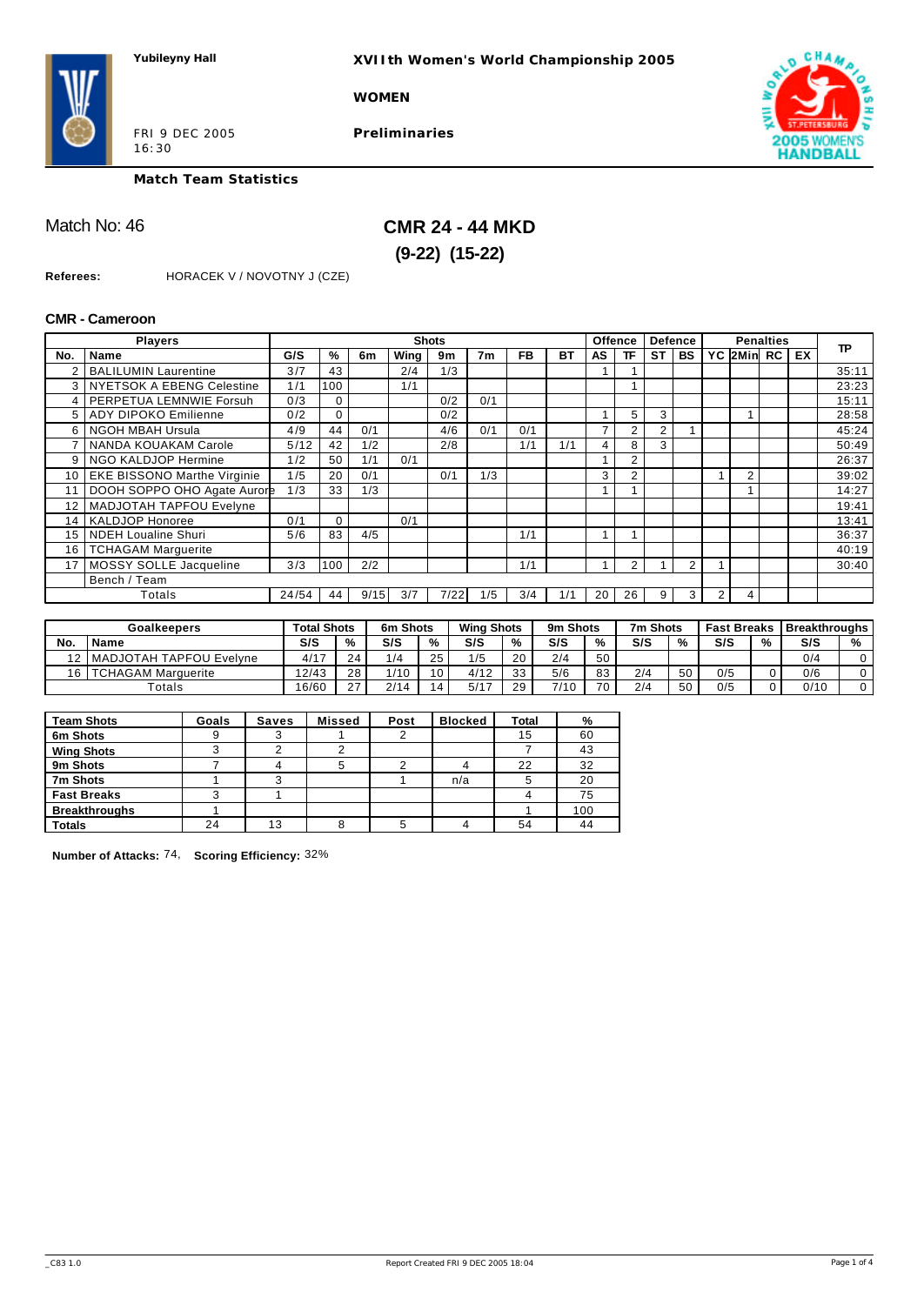**XVIIth Women's World Championship 2005**

**WOMEN**

FRI 9 DEC 2005 16:30

**Preliminaries**



**Match Team Statistics**

Match No: 46 **CMR 24 - 44 MKD (9-22) (15-22)** 

**Referees:** HORACEK V / NOVOTNY J (CZE)

#### **CMR - Cameroon**

|     | <b>Players</b>                     |       |          |      |      | <b>Shots</b> |     |           |           |    | <b>Offence</b> |           | <b>Defence</b> |   |                | <b>Penalties</b> |    |       |
|-----|------------------------------------|-------|----------|------|------|--------------|-----|-----------|-----------|----|----------------|-----------|----------------|---|----------------|------------------|----|-------|
| No. | <b>Name</b>                        | G/S   | %        | 6m   | Wing | 9m           | 7m  | <b>FB</b> | <b>BT</b> | AS | ΤF             | <b>ST</b> | <b>BS</b>      |   | YC 2Min RC     |                  | EX | TP    |
|     | <b>BALILUMIN Laurentine</b>        | 3/7   | 43       |      | 2/4  | 1/3          |     |           |           |    |                |           |                |   |                |                  |    | 35:11 |
|     | 3 NYETSOK A EBENG Celestine        | 1/1   | 100      |      | 1/1  |              |     |           |           |    |                |           |                |   |                |                  |    | 23:23 |
| 4   | PERPETUA LEMNWIE Forsuh            | 0/3   | 0        |      |      | 0/2          | 0/1 |           |           |    |                |           |                |   |                |                  |    | 15:11 |
|     | 5   ADY DIPOKO Emilienne           | 0/2   | 0        |      |      | 0/2          |     |           |           |    | 5              | 3         |                |   |                |                  |    | 28:58 |
| 6   | NGOH MBAH Ursula                   | 4/9   | 44       | 0/1  |      | 4/6          | 0/1 | 0/1       |           | 7  | 2              | 2         |                |   |                |                  |    | 45:24 |
|     | NANDA KOUAKAM Carole               | 5/12  | 42       | 1/2  |      | 2/8          |     | 1/1       | 1/1       | 4  | 8              | 3         |                |   |                |                  |    | 50:49 |
| 9   | NGO KALDJOP Hermine                | 1/2   | 50       | 1/1  | 0/1  |              |     |           |           | 1  | $\overline{2}$ |           |                |   |                |                  |    | 26:37 |
| 10  | <b>EKE BISSONO Marthe Virginie</b> | 1/5   | 20       | 0/1  |      | 0/1          | 1/3 |           |           | 3  | 2              |           |                |   | $\overline{2}$ |                  |    | 39:02 |
| 11  | DOOH SOPPO OHO Agate Aurore        | 1/3   | 33       | 1/3  |      |              |     |           |           | 1  |                |           |                |   |                |                  |    | 14:27 |
| 12  | <b>MADJOTAH TAPFOU Evelyne</b>     |       |          |      |      |              |     |           |           |    |                |           |                |   |                |                  |    | 19:41 |
| 14  | <b>KALDJOP Honoree</b>             | 0/1   | $\Omega$ |      | 0/1  |              |     |           |           |    |                |           |                |   |                |                  |    | 13:41 |
| 15  | <b>NDEH Loualine Shuri</b>         | 5/6   | 83       | 4/5  |      |              |     | 1/1       |           | 1  |                |           |                |   |                |                  |    | 36:37 |
| 16  | <b>TCHAGAM Marquerite</b>          |       |          |      |      |              |     |           |           |    |                |           |                |   |                |                  |    | 40:19 |
| 17  | MOSSY SOLLE Jacqueline             | 3/3   | 100      | 2/2  |      |              |     | 1/1       |           | 4  | $\overline{2}$ |           | $\overline{2}$ |   |                |                  |    | 30:40 |
|     | Bench / Team                       |       |          |      |      |              |     |           |           |    |                |           |                |   |                |                  |    |       |
|     | Totals                             | 24/54 | 44       | 9/15 | 3/7  | 7/22         | 1/5 | 3/4       | 1/1       | 20 | 26             | 9         | 3              | 2 | 4              |                  |    |       |

|                     | <b>Goalkeepers</b>              | <b>Total Shots</b> |                    | 6m Shots    |    | <b>Wing Shots</b> |    | 9m Shots |     | 7m Shots |    | <b>Fast Breaks</b> |   | <b>Breakthroughs</b> |                   |
|---------------------|---------------------------------|--------------------|--------------------|-------------|----|-------------------|----|----------|-----|----------|----|--------------------|---|----------------------|-------------------|
| No.                 | Name                            | S/S                | $\frac{0}{c}$      | S/S         | %  | S/S               | %  | S/S      | 0/2 | S/S      | %  | S/S                | % | S/S                  | $\mathbf{a}$<br>% |
|                     | <b>IMADJOTAH TAPFOU Evelyne</b> | $\Delta/17$        | $\sim$             | 1/4         | 25 | 1/5               | 20 | 2/4      | 50  |          |    |                    |   | 0/4                  |                   |
| $^{\ast}$ $\approx$ | <b>TCHAGAM Marquerite</b>       | 12/43              | 28                 | 1/10<br>11V | 10 | 4/12              | 33 | 5/6      | 83  | 2/4      | 50 | 0/5                |   | 0/6                  |                   |
|                     | $\tau$ otals                    | 16/60              | $\sim$<br><u>.</u> | 2/14        | 14 | 5/17              | 29 | $7/10$ . | 70  | 2/4      | 50 | 0/5                |   | 0/10                 |                   |

| <b>Team Shots</b>    | Goals | Saves | <b>Missed</b> | Post | <b>Blocked</b> | <b>Total</b> | %   |
|----------------------|-------|-------|---------------|------|----------------|--------------|-----|
| 6m Shots             |       | 3     |               |      |                | 15           | 60  |
| <b>Wing Shots</b>    |       |       |               |      |                |              | 43  |
| 9m Shots             |       |       | 5             |      |                | 22           | 32  |
| 7m Shots             |       | 3     |               |      | n/a            |              | 20  |
| <b>Fast Breaks</b>   |       |       |               |      |                |              | 75  |
| <b>Breakthroughs</b> |       |       |               |      |                |              | 100 |
| <b>Totals</b>        | 24    | 13    | 8             |      |                | 54           | 44  |

**Number of Attacks:** 74, **Scoring Efficiency:** 32%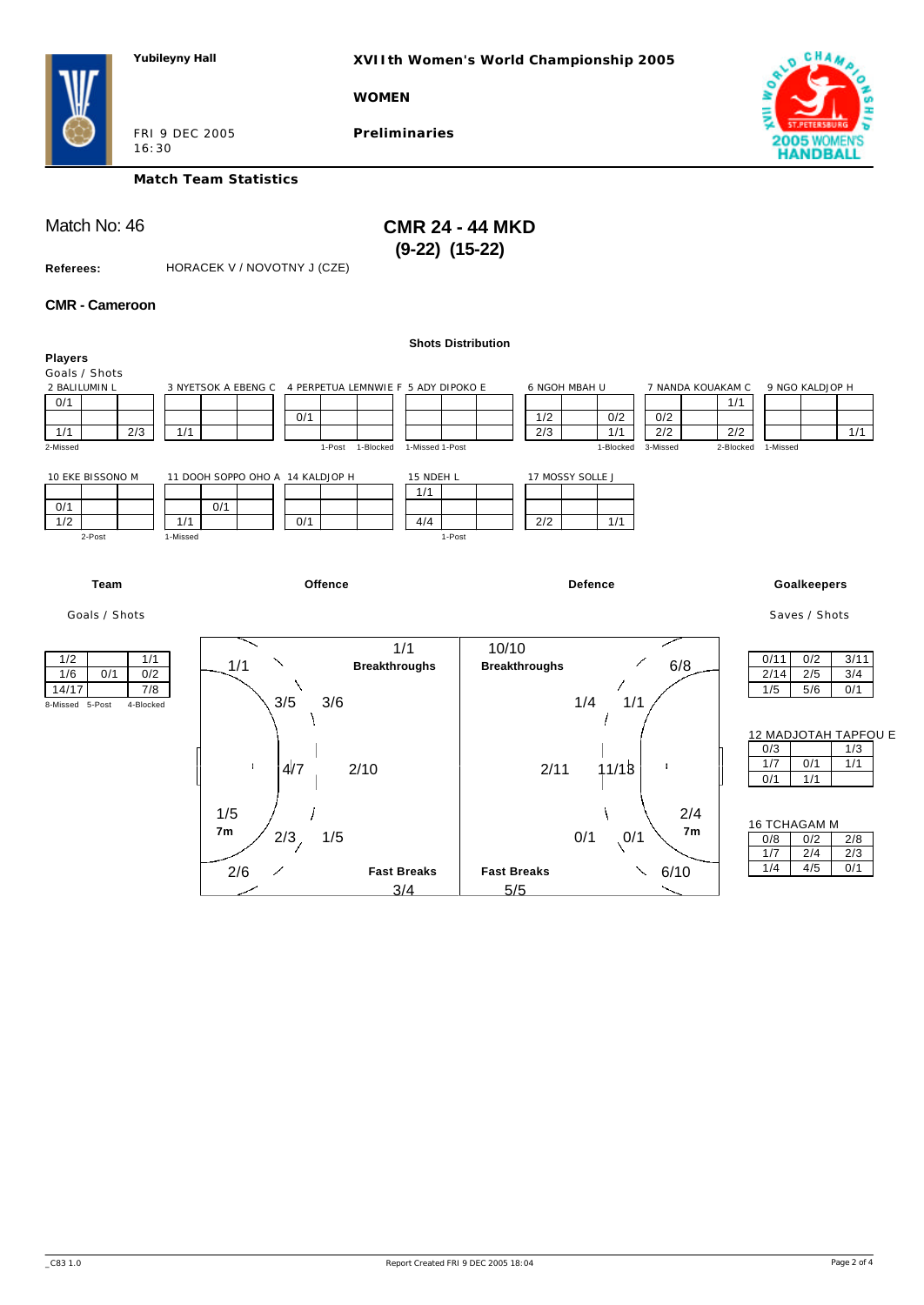**XVIIth Women's World Championship 2005**

**WOMEN**

FRI 9 DEC 2005 16:30

**Preliminaries**



**Match Team Statistics**

Match No: 46 **CMR 24 - 44 MKD (9-22) (15-22)** 

**Referees:** HORACEK V / NOVOTNY J (CZE)

#### **CMR - Cameroon**

| <b>Players</b>                                                                  |                                                                                    | <b>Shots Distribution</b>                |                                                                                         |                                                                                    |
|---------------------------------------------------------------------------------|------------------------------------------------------------------------------------|------------------------------------------|-----------------------------------------------------------------------------------------|------------------------------------------------------------------------------------|
| Goals / Shots<br>2 BALILUMIN L<br>0/1<br>1/1<br>2/3<br>1/1<br>2-Missed          | 3 NYETSOK A EBENG C 4 PERPETUA LEMNWIE F 5 ADY DIPOKO E<br>0/1<br>1-Post 1-Blocked | 1/2<br>2/3<br>1-Missed 1-Post            | 6 NGOH MBAH U<br>7 NANDA KOUAKAM C<br>0/2<br>0/2<br>2/2<br>1/1<br>1-Blocked<br>3-Missed | 9 NGO KALDJOP H<br>1/1<br>2/2<br>1/1<br>2-Blocked<br>1-Missed                      |
| 10 EKE BISSONO M<br>0/1<br>1/2<br>1/1<br>2-Post<br>1-Missed                     | 11 DOOH SOPPO OHO A 14 KALDJOP H<br>0/1<br>0/1                                     | 15 NDEH L<br>1/1<br>4/4<br>2/2<br>1-Post | 17 MOSSY SOLLE J<br>1/1                                                                 |                                                                                    |
| Team                                                                            | Offence                                                                            |                                          | <b>Defence</b>                                                                          | Goalkeepers                                                                        |
| Goals / Shots                                                                   |                                                                                    |                                          |                                                                                         | Saves / Shots                                                                      |
| 1/2<br>1/1<br>1/6<br>0/1<br>0/2<br>14/17<br>7/8<br>8-Missed 5-Post<br>4-Blocked | 1/1<br>1/1<br><b>Breakthroughs</b><br>3/5<br>3/6                                   | 10/10<br><b>Breakthroughs</b>            | 6/8<br>1/4<br>1/1                                                                       | 0/11<br>0/2<br>3/11<br>2/5<br>2/14<br>3/4<br>1/5<br>5/6<br>0/1                     |
|                                                                                 | ÷<br>4/7<br>2/10                                                                   | 2/11                                     | ÷<br>11/18                                                                              | 12 MADJOTAH TAPFOU E<br>0/3<br>1/3<br>1/7<br>0/1<br>1/1<br>0/1<br>1/1              |
|                                                                                 | 1/5<br>7 <sub>m</sub><br>1/5<br>2/3<br>2/6<br><b>Fast Breaks</b>                   | <b>Fast Breaks</b>                       | 2/4<br>7 <sub>m</sub><br>0/1<br>$\sqrt{0/1}$<br>6/10<br>╲                               | <b>16 TCHAGAM M</b><br>0/8<br>0/2<br>2/8<br>2/4<br>1/7<br>2/3<br>1/4<br>4/5<br>0/1 |
|                                                                                 | 3/4                                                                                | 5/5                                      |                                                                                         |                                                                                    |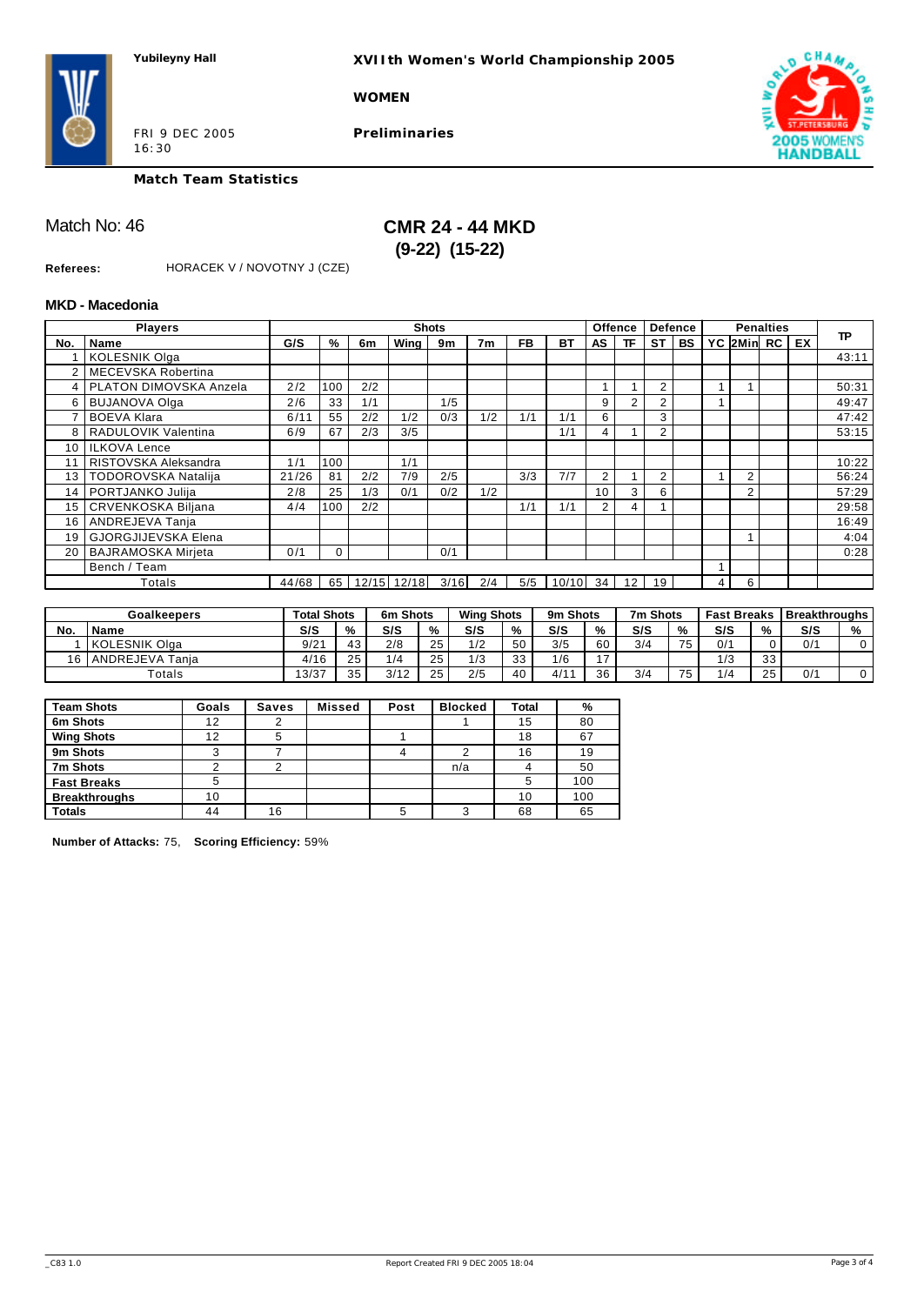**XVIIth Women's World Championship 2005**

#### **WOMEN**

FRI 9 DEC 2005 16:30

**Preliminaries**



**Match Team Statistics**

Match No: 46 **CMR 24 - 44 MKD (9-22) (15-22)** 

**Referees:** HORACEK V / NOVOTNY J (CZE)

#### **MKD - Macedonia**

|     | <b>Players</b>             |       |      |       |       | <b>Shots</b> |                |           |           |                | <b>Offence</b> |                | <b>Defence</b> |   |            | <b>Penalties</b> |    |           |
|-----|----------------------------|-------|------|-------|-------|--------------|----------------|-----------|-----------|----------------|----------------|----------------|----------------|---|------------|------------------|----|-----------|
| No. | Name                       | G/S   | %    | 6m    | Wing  | 9m           | 7 <sub>m</sub> | <b>FB</b> | <b>BT</b> | AS             | <b>TF</b>      | <b>ST</b>      | BS             |   | YC 2Min RC |                  | EX | <b>TP</b> |
|     | <b>KOLESNIK Olga</b>       |       |      |       |       |              |                |           |           |                |                |                |                |   |            |                  |    | 43:11     |
| 2   | l MECEVSKA Robertina       |       |      |       |       |              |                |           |           |                |                |                |                |   |            |                  |    |           |
|     | 4   PLATON DIMOVSKA Anzela | 2/2   | 100  | 2/2   |       |              |                |           |           | 1              |                | $\overline{2}$ |                |   |            |                  |    | 50:31     |
| 6   | <b>BUJANOVA Olga</b>       | 2/6   | 33   | 1/1   |       | 1/5          |                |           |           | 9              | $\overline{2}$ | 2              |                |   |            |                  |    | 49:47     |
|     | <b>BOEVA Klara</b>         | 6/11  | 55   | 2/2   | 1/2   | 0/3          | 1/2            | 1/1       | 1/1       | 6              |                | 3              |                |   |            |                  |    | 47:42     |
| 8   | RADULOVIK Valentina        | 6/9   | 67   | 2/3   | 3/5   |              |                |           | 1/1       | 4              |                | $\overline{2}$ |                |   |            |                  |    | 53:15     |
| 10  | <b>ILKOVA Lence</b>        |       |      |       |       |              |                |           |           |                |                |                |                |   |            |                  |    |           |
| 11  | RISTOVSKA Aleksandra       | 1/1   | 100  |       | 1/1   |              |                |           |           |                |                |                |                |   |            |                  |    | 10:22     |
| 13  | <b>TODOROVSKA Natalija</b> | 21/26 | 81   | 2/2   | 7/9   | 2/5          |                | 3/3       | 7/7       | $\overline{2}$ |                | $\overline{2}$ |                |   | 2          |                  |    | 56:24     |
| 14  | PORTJANKO Julija           | 2/8   | 25   | 1/3   | 0/1   | 0/2          | 1/2            |           |           | 10             | 3              | 6              |                |   | $\sqrt{2}$ |                  |    | 57:29     |
| 15  | <b>CRVENKOSKA Biljana</b>  | 4/4   | 100  | 2/2   |       |              |                | 1/1       | 1/1       | 2              | 4              |                |                |   |            |                  |    | 29:58     |
| 16  | ANDREJEVA Tanja            |       |      |       |       |              |                |           |           |                |                |                |                |   |            |                  |    | 16:49     |
| 19  | <b>GJORGJIJEVSKA Elena</b> |       |      |       |       |              |                |           |           |                |                |                |                |   |            |                  |    | 4:04      |
| 20  | <b>BAJRAMOSKA Mirjeta</b>  | 0/1   | 0    |       |       | 0/1          |                |           |           |                |                |                |                |   |            |                  |    | 0:28      |
|     | Bench / Team               |       |      |       |       |              |                |           |           |                |                |                |                |   |            |                  |    |           |
|     | Totals                     | 44/68 | 65 l | 12/15 | 12/18 | 3/16         | 2/4            | 5/5       | 10/10     | 34             | 12             | 19             |                | 4 | 6          |                  |    |           |

|     | <b>Goalkeepers</b> | <b>Total Shots</b> |                  | 6m Shots |    | <b>Wing Shots</b> |    | 9m Shots |    | 7m Shots |          | <b>Fast Breaks</b> |    | <b>Breakthroughs</b> |   |
|-----|--------------------|--------------------|------------------|----------|----|-------------------|----|----------|----|----------|----------|--------------------|----|----------------------|---|
| No. | <b>Name</b>        | S/S                | %                | S/S      | %  | S/S               | %  | S/S      | %  | S/S      | %        | S/S                | %  | S/S                  | % |
|     | l KOLESNIK Olaa    | 9/21               | $\sqrt{2}$<br>40 | 2/8      | 25 | 1/2               | 50 | 3/5      | 60 | 3/4      | 75<br>ر. | 0/1                |    | 0/1                  |   |
| 16  | ANDREJEVA Tania    | 4/16               | つに               | 1/4      | 25 | 1/3               | 33 | 1/6      | 17 |          |          | 1/3                | 33 |                      |   |
|     | $\tau$ otals       | 13/37              | 25               | 3/12     | 25 | 2/5               | 40 | 4/1'     | 36 | 3/4      | $- -$    | / ا                | 25 | 0/1                  |   |

| <b>Team Shots</b>    | Goals | <b>Saves</b> | <b>Missed</b> | Post | <b>Blocked</b> | Total | %   |
|----------------------|-------|--------------|---------------|------|----------------|-------|-----|
| 6m Shots             | 12    | 2            |               |      |                | 15    | 80  |
| <b>Wing Shots</b>    | 12    | 5            |               |      |                | 18    | 67  |
| 9m Shots             |       |              |               |      |                | 16    | 19  |
| 7m Shots             |       |              |               |      | n/a            |       | 50  |
| <b>Fast Breaks</b>   |       |              |               |      |                |       | 100 |
| <b>Breakthroughs</b> | 10    |              |               |      |                | 10    | 100 |
| <b>Totals</b>        | 44    | 16           |               | 5    |                | 68    | 65  |

**Number of Attacks:** 75, **Scoring Efficiency:** 59%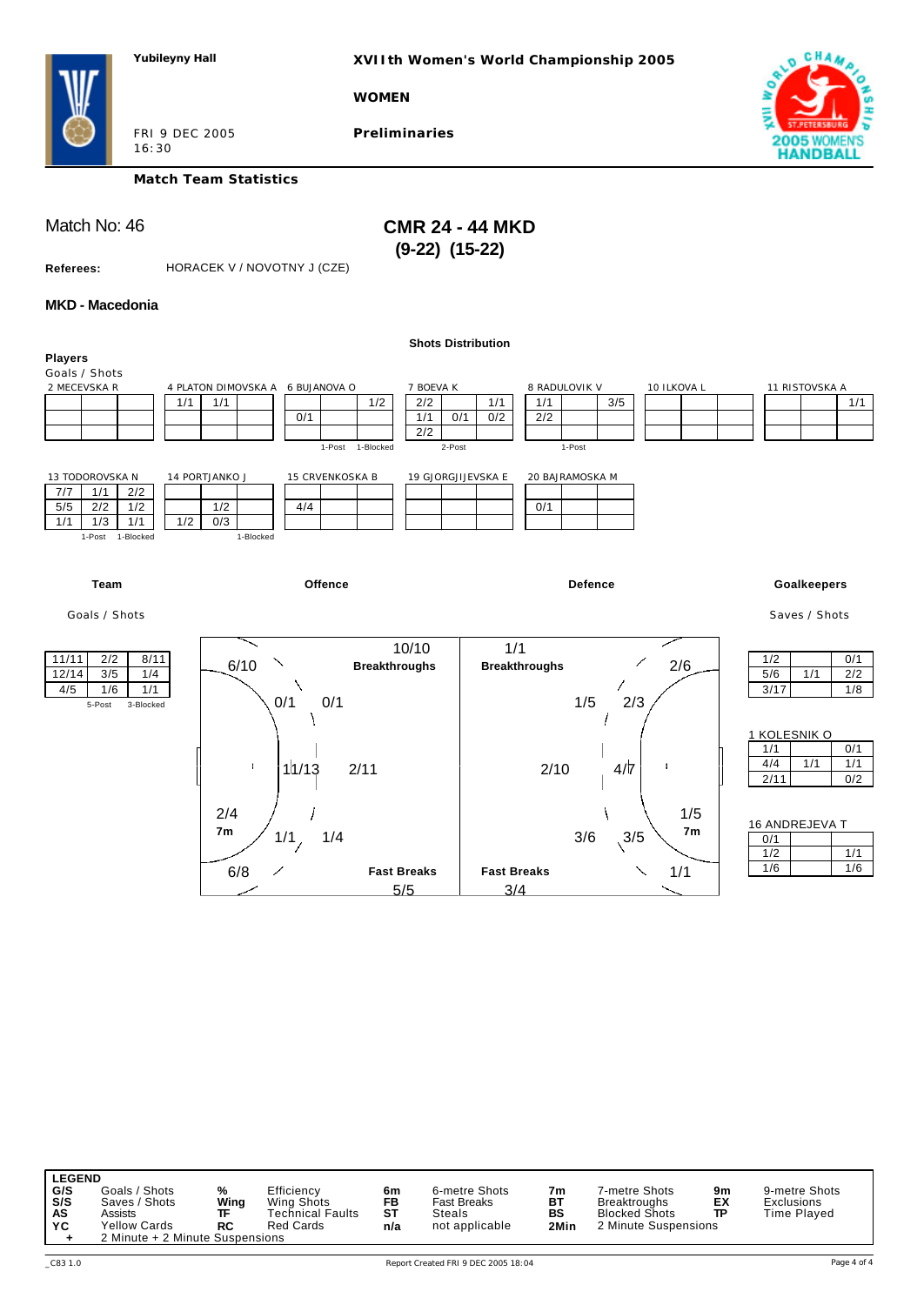**XVIIth Women's World Championship 2005**

**WOMEN**

FRI 9 DEC 2005 16:30

**Preliminaries**



**Match Team Statistics**

Match No: 46 **CMR 24 - 44 MKD (9-22) (15-22)** 

**Referees:** HORACEK V / NOVOTNY J (CZE)

#### **MKD - Macedonia**

|                                                                                                                                                                     |                                                                                                                                                  | <b>Shots Distribution</b>                                                                                |                                                                  |                                                                |
|---------------------------------------------------------------------------------------------------------------------------------------------------------------------|--------------------------------------------------------------------------------------------------------------------------------------------------|----------------------------------------------------------------------------------------------------------|------------------------------------------------------------------|----------------------------------------------------------------|
| <b>Players</b><br>Goals / Shots<br>2 MECEVSKA R<br>1/1<br>13 TODOROVSKA N<br>2/2<br>7/7<br>1/1<br>5/5<br>2/2<br>1/2<br>1/2<br>1/1<br>1/3<br>1/1<br>1-Post 1-Blocked | 4 PLATON DIMOVSKA A 6 BUJANOVA O<br>1/1<br>1/2<br>0/1<br>1-Post 1-Blocked<br>14 PORTJANKO J<br>15 CRVENKOSKA B<br>1/2<br>4/4<br>0/3<br>1-Blocked | 7 BOEVA K<br>2/2<br>1/1<br>1/1<br>0/2<br>2/2<br>1/1<br>0/1<br>2/2<br>2-Post<br>19 GJORGJIJEVSKA E<br>0/1 | 10 ILKOVA L<br>8 RADULOVIK V<br>3/5<br>1-Post<br>20 BAJRAMOSKA M | 11 RISTOVSKA A<br>1/1                                          |
| Team                                                                                                                                                                | Offence                                                                                                                                          |                                                                                                          | <b>Defence</b>                                                   | Goalkeepers                                                    |
| Goals / Shots                                                                                                                                                       |                                                                                                                                                  |                                                                                                          |                                                                  | Saves / Shots                                                  |
| 11/11<br>2/2<br>8/11<br>3/5<br>12/14<br>1/4<br>4/5<br>1/6<br>1/1<br>5-Post<br>3-Blocked                                                                             | 6/10<br><b>Breakthroughs</b><br>0/1<br>0/1                                                                                                       | 10/10<br>1/1<br><b>Breakthroughs</b>                                                                     | 2/6<br>1/5<br>2/3                                                | 1/2<br>0/1<br>5/6<br>1/1<br>2/2<br>3/17<br>1/8<br>1 KOLESNIK O |
|                                                                                                                                                                     | ÷.<br>11/13<br>2/11                                                                                                                              | 2/10                                                                                                     | $4/\overline{7}$                                                 | 1/1<br>0/1<br>4/4<br>1/1<br>1/1<br>2/11<br>0/2                 |
|                                                                                                                                                                     | 2/4<br>7m<br>1/1,<br>1/4                                                                                                                         |                                                                                                          | 1/5<br>7 <sub>m</sub><br>3/6<br>3/5                              | 16 ANDREJEVA T<br>0/1<br>1/2<br>1/1                            |
|                                                                                                                                                                     | 6/8<br><b>Fast Breaks</b>                                                                                                                        | <b>Fast Breaks</b>                                                                                       | 1/1                                                              | 1/6<br>1/6                                                     |

**LEGEND<br>
G/S** Goals / Shots<br> **S/S** Saves / Shots<br> **AS** Assists<br> **YC** Yellow Cards G/S Goals / Shots % Efficiency **6m** 6-metre Shots 7m 7-metre Shots 9m 9-metre Shots<br>SIS Saves / Shots Wing Wing Shots Fast Breaks BT Breaktroughs EX Exclusions<br>AS Assists 10 TF Technical Faults ST Steals 19 BS Blocked Shot 2 Minute + 2 Minute Suspensions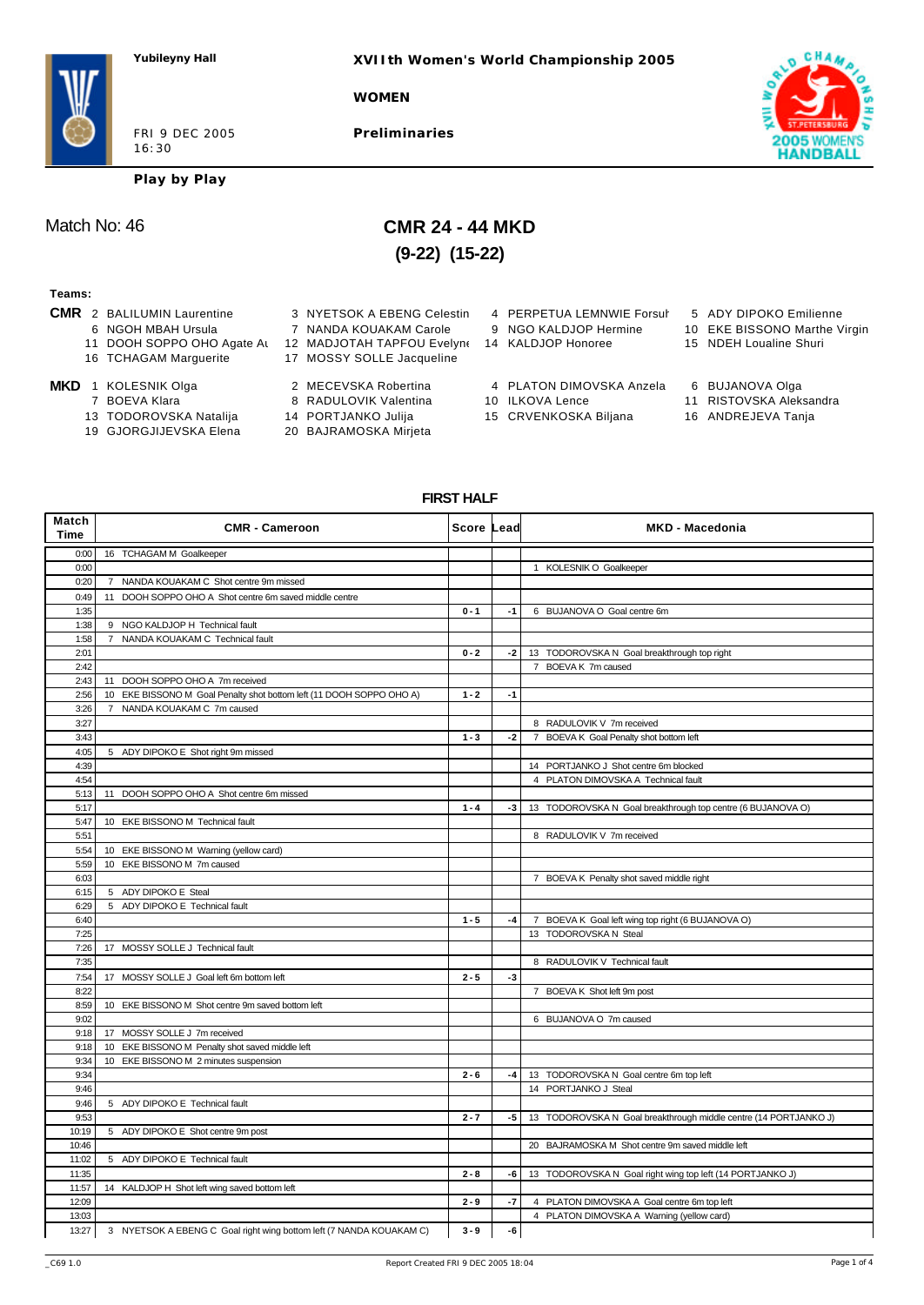**XVIIth Women's World Championship 2005**

#### **WOMEN**

FRI 9 DEC 2005 16:30

**Preliminaries**



**Play by Play**

## Match No: 46 **CMR 24 - 44 MKD (9-22) (15-22)**

#### **Teams:**

- -
	- 11 DOOH SOPPO OHO Agate At 12 MADJOTAH TAPFOU Evelyne 14 KALDJOP Honoree 15 NDEH Loualine Shuri
	- 16 TCHAGAM Marguerite 17 MOSSY SOLLE Jacqueline
	-
- -
	- 13 TODOROVSKA Natalija 14 PORTJANKO Julija 15 CRVENKOSKA Biljana 16 ANDREJEVA Tanja<br>19 GJORGJIJEVSKA Elena 20 BAJRAMOSKA Mirjeta
	- 19 GJORGJIJEVSKA Elena
- 
- 
- 
- 
- 
- 
- 
- -
- **CMR** 2 BALILUMIN Laurentine 3 NYETSOK A EBENG Celestin 4 PERPETUA LEMNWIE Forsul 5 ADY DIPOKO Emilienne
	-
	-
	-
- **MKD** 1 KOLESNIK Olga **2 MECEVSKA Robertina** 4 PLATON DIMOVSKA Anzela 6 BUJANOVA Olga<br>7 BOEVA Klara 8 RADULOVIK Valentina 10 ILKOVA Lence 11 RISTOVSKA Aleks
	- -
- 
- 6 NGOH MBAH Ursula 7 NANDA KOUAKAM Carole 9 NGO KALDJOP Hermine 10 EKE BISSONO Marthe Virgin
	-
	-
	- 11 RISTOVSKA Aleksandra
	-
	-

## **FIRST HALF**

| Match<br>Time | <b>CMR - Cameroon</b>                                                | Score Lead |      | <b>MKD - Macedonia</b>                                           |
|---------------|----------------------------------------------------------------------|------------|------|------------------------------------------------------------------|
| 0:00          | 16 TCHAGAM M Goalkeeper                                              |            |      |                                                                  |
| 0:00          |                                                                      |            |      | 1 KOLESNIK O Goalkeeper                                          |
| 0:20          | 7 NANDA KOUAKAM C Shot centre 9m missed                              |            |      |                                                                  |
| 0:49          | 11 DOOH SOPPO OHO A Shot centre 6m saved middle centre               |            |      |                                                                  |
| 1:35          |                                                                      | $0 - 1$    | $-1$ | 6 BUJANOVA O Goal centre 6m                                      |
| 1:38          | 9 NGO KALDJOP H Technical fault                                      |            |      |                                                                  |
| 1:58          | 7 NANDA KOUAKAM C Technical fault                                    |            |      |                                                                  |
| 2:01          |                                                                      | $0 - 2$    | $-2$ | 13 TODOROVSKA N Goal breakthrough top right                      |
| 2:42          |                                                                      |            |      | 7 BOEVA K 7m caused                                              |
| 2:43          | 11 DOOH SOPPO OHO A 7m received                                      |            |      |                                                                  |
| 2:56          | 10 EKE BISSONO M Goal Penalty shot bottom left (11 DOOH SOPPO OHO A) | $1 - 2$    | $-1$ |                                                                  |
| 3:26          | 7 NANDA KOUAKAM C 7m caused                                          |            |      |                                                                  |
| 3:27          |                                                                      |            |      | 8 RADULOVIK V 7m received                                        |
| 3:43          |                                                                      | $1 - 3$    | $-2$ | 7 BOEVA K Goal Penalty shot bottom left                          |
| 4:05          | 5 ADY DIPOKO E Shot right 9m missed                                  |            |      |                                                                  |
| 4:39          |                                                                      |            |      | 14 PORTJANKO J Shot centre 6m blocked                            |
| 4:54          |                                                                      |            |      | 4 PLATON DIMOVSKA A Technical fault                              |
| 5:13          | 11 DOOH SOPPO OHO A Shot centre 6m missed                            |            |      |                                                                  |
| 5:17          |                                                                      | $1 - 4$    | $-3$ | 13 TODOROVSKA N Goal breakthrough top centre (6 BUJANOVA O)      |
| 5:47          | 10 EKE BISSONO M Technical fault                                     |            |      |                                                                  |
| 5:51          |                                                                      |            |      | 8 RADULOVIK V 7m received                                        |
|               |                                                                      |            |      |                                                                  |
| 5:54<br>5:59  | 10 EKE BISSONO M Warning (yellow card)                               |            |      |                                                                  |
|               | 10 EKE BISSONO M 7m caused                                           |            |      |                                                                  |
| 6:03          |                                                                      |            |      | 7 BOEVA K Penalty shot saved middle right                        |
| 6:15          | 5 ADY DIPOKO E Steal                                                 |            |      |                                                                  |
| 6:29          | 5 ADY DIPOKO E Technical fault                                       |            |      |                                                                  |
| 6:40          |                                                                      | $1 - 5$    | $-4$ | 7 BOEVA K Goal left wing top right (6 BUJANOVA O)                |
| 7:25          |                                                                      |            |      | 13 TODOROVSKA N Steal                                            |
| 7:26          | 17 MOSSY SOLLE J Technical fault                                     |            |      |                                                                  |
| 7:35          |                                                                      |            |      | 8 RADULOVIK V Technical fault                                    |
| 7:54          | 17 MOSSY SOLLE J Goal left 6m bottom left                            | $2 - 5$    | $-3$ |                                                                  |
| 8:22          |                                                                      |            |      | 7 BOEVA K Shot left 9m post                                      |
| 8:59          | 10 EKE BISSONO M Shot centre 9m saved bottom left                    |            |      |                                                                  |
| 9:02          |                                                                      |            |      | 6 BUJANOVA O 7m caused                                           |
| 9:18          | 17 MOSSY SOLLE J 7m received                                         |            |      |                                                                  |
| 9:18          | 10 EKE BISSONO M Penalty shot saved middle left                      |            |      |                                                                  |
| 9:34          | 10 EKE BISSONO M 2 minutes suspension                                |            |      |                                                                  |
| 9:34          |                                                                      | $2 - 6$    | $-4$ | 13 TODOROVSKA N Goal centre 6m top left                          |
| 9:46          |                                                                      |            |      | 14 PORTJANKO J Steal                                             |
| 9:46          | 5 ADY DIPOKO E Technical fault                                       |            |      |                                                                  |
| 9:53          |                                                                      | $2 - 7$    | -5   | 13 TODOROVSKA N Goal breakthrough middle centre (14 PORTJANKO J) |
| 10:19         | 5 ADY DIPOKO E Shot centre 9m post                                   |            |      |                                                                  |
| 10:46         |                                                                      |            |      | 20 BAJRAMOSKA M Shot centre 9m saved middle left                 |
| 11:02         | 5 ADY DIPOKO E Technical fault                                       |            |      |                                                                  |
| 11:35         |                                                                      | $2 - 8$    | -6   | 13 TODOROVSKA N Goal right wing top left (14 PORTJANKO J)        |
| 11:57         | 14 KALDJOP H Shot left wing saved bottom left                        |            |      |                                                                  |
| 12:09         |                                                                      | $2 - 9$    | -7   | 4 PLATON DIMOVSKA A Goal centre 6m top left                      |
| 13:03         |                                                                      |            |      | 4 PLATON DIMOVSKA A Warning (yellow card)                        |
| 13:27         | 3 NYETSOK A EBENG C Goal right wing bottom left (7 NANDA KOUAKAM C)  | $3 - 9$    | -6   |                                                                  |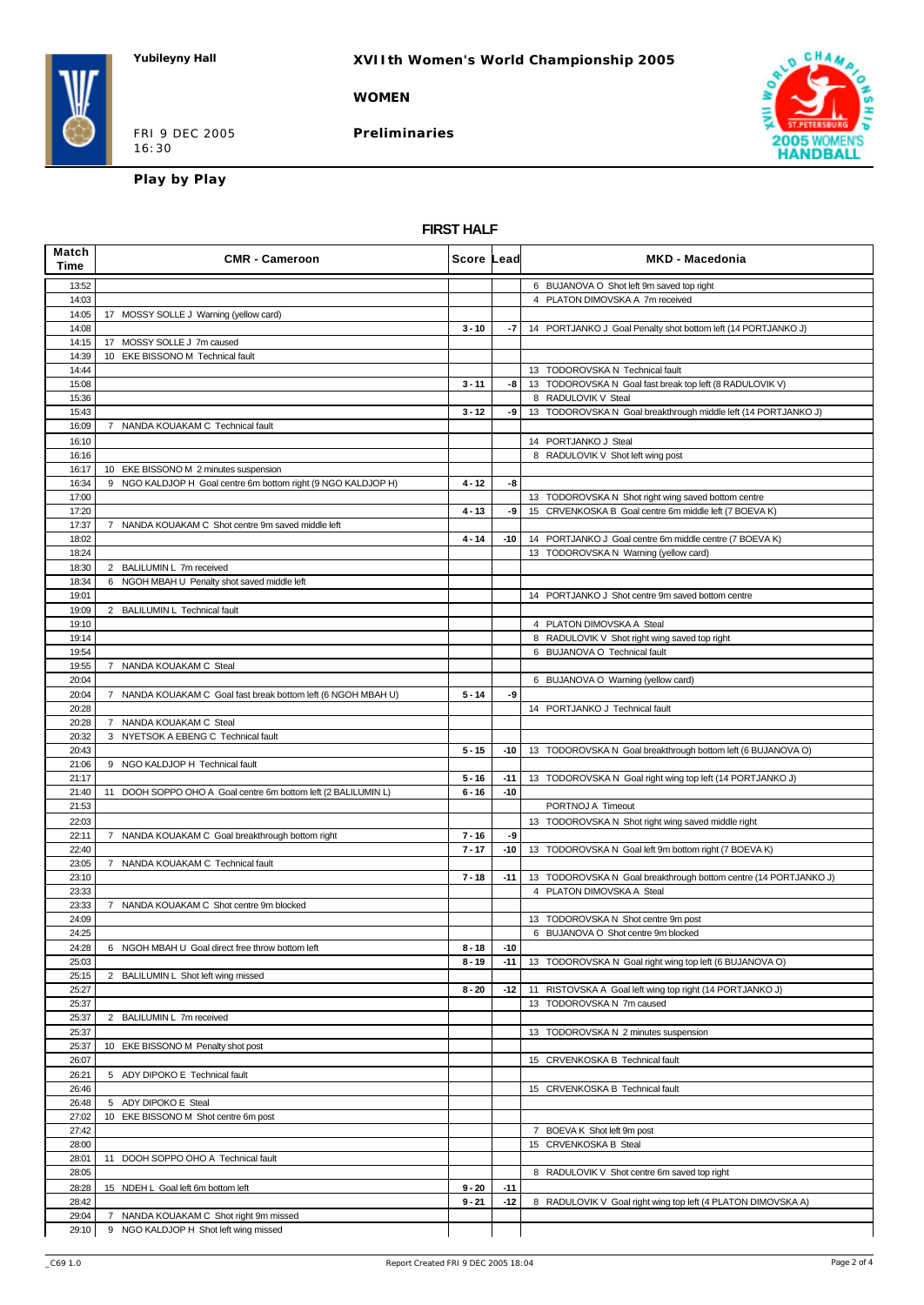#### **WOMEN**

FRI 9 DEC 2005 16:30

**Preliminaries**



**Play by Play**

### **FIRST HALF**

| Match<br>Time  | <b>CMR - Cameroon</b>                                                     | Score Lead |       | <b>MKD - Macedonia</b>                                           |
|----------------|---------------------------------------------------------------------------|------------|-------|------------------------------------------------------------------|
| 13:52          |                                                                           |            |       | 6 BUJANOVA O Shot left 9m saved top right                        |
| 14:03          |                                                                           |            |       | 4 PLATON DIMOVSKA A 7m received                                  |
| 14:05          | 17 MOSSY SOLLE J Warning (yellow card)                                    |            |       |                                                                  |
| 14:08          |                                                                           | $3 - 10$   | -7    | 14 PORTJANKO J Goal Penalty shot bottom left (14 PORTJANKO J)    |
| 14:15<br>14:39 | 17 MOSSY SOLLE J 7m caused<br>10 EKE BISSONO M Technical fault            |            |       |                                                                  |
| 14:44          |                                                                           |            |       | 13 TODOROVSKA N Technical fault                                  |
| 15:08          |                                                                           | $3 - 11$   | -8    | 13 TODOROVSKA N Goal fast break top left (8 RADULOVIK V)         |
| 15:36          |                                                                           |            |       | 8 RADULOVIK V Steal                                              |
| 15:43          |                                                                           | $3 - 12$   | -9    | 13 TODOROVSKA N Goal breakthrough middle left (14 PORTJANKO J)   |
| 16:09          | 7 NANDA KOUAKAM C Technical fault                                         |            |       |                                                                  |
| 16:10          |                                                                           |            |       | 14 PORTJANKO J Steal                                             |
| 16:16<br>16:17 | 10 EKE BISSONO M 2 minutes suspension                                     |            |       | 8 RADULOVIK V Shot left wing post                                |
| 16:34          | 9 NGO KALDJOP H Goal centre 6m bottom right (9 NGO KALDJOP H)             | 4 - 12     | -8    |                                                                  |
| 17:00          |                                                                           |            |       | 13 TODOROVSKA N Shot right wing saved bottom centre              |
| 17:20          |                                                                           | $4 - 13$   | -9    | 15 CRVENKOSKA B Goal centre 6m middle left (7 BOEVA K)           |
| 17:37          | 7 NANDA KOUAKAM C Shot centre 9m saved middle left                        |            |       |                                                                  |
| 18:02          |                                                                           | $4 - 14$   | $-10$ | 14 PORTJANKO J Goal centre 6m middle centre (7 BOEVA K)          |
| 18:24          |                                                                           |            |       | 13 TODOROVSKA N Warning (yellow card)                            |
| 18:30<br>18:34 | 2 BALILUMIN L 7m received<br>6 NGOH MBAH U Penalty shot saved middle left |            |       |                                                                  |
| 19:01          |                                                                           |            |       | 14 PORTJANKO J Shot centre 9m saved bottom centre                |
| 19:09          | 2 BALILUMIN L Technical fault                                             |            |       |                                                                  |
| 19:10          |                                                                           |            |       | 4 PLATON DIMOVSKA A Steal                                        |
| 19:14          |                                                                           |            |       | 8 RADULOVIK V Shot right wing saved top right                    |
| 19:54          |                                                                           |            |       | 6 BUJANOVA O Technical fault                                     |
| 19:55          | 7 NANDA KOUAKAM C Steal                                                   |            |       |                                                                  |
| 20:04          |                                                                           |            |       | 6 BUJANOVA O Warning (yellow card)                               |
| 20:04<br>20:28 | 7 NANDA KOUAKAM C Goal fast break bottom left (6 NGOH MBAH U)             | $5 - 14$   | -9    | 14 PORTJANKO J Technical fault                                   |
| 20:28          | 7 NANDA KOUAKAM C Steal                                                   |            |       |                                                                  |
| 20:32          | 3 NYETSOK A EBENG C Technical fault                                       |            |       |                                                                  |
| 20:43          |                                                                           | $5 - 15$   | $-10$ | 13 TODOROVSKA N Goal breakthrough bottom left (6 BUJANOVA O)     |
| 21:06          | 9 NGO KALDJOP H Technical fault                                           |            |       |                                                                  |
| 21:17          |                                                                           | $5 - 16$   | $-11$ | 13 TODOROVSKA N Goal right wing top left (14 PORTJANKO J)        |
| 21:40<br>21:53 | 11 DOOH SOPPO OHO A Goal centre 6m bottom left (2 BALILUMIN L)            | $6 - 16$   | $-10$ | PORTNOJ A Timeout                                                |
| 22:03          |                                                                           |            |       | 13 TODOROVSKA N Shot right wing saved middle right               |
| 22:11          | 7 NANDA KOUAKAM C Goal breakthrough bottom right                          | $7 - 16$   | -9    |                                                                  |
| 22:40          |                                                                           | $7 - 17$   | $-10$ | 13 TODOROVSKA N Goal left 9m bottom right (7 BOEVA K)            |
| 23:05          | 7 NANDA KOUAKAM C Technical fault                                         |            |       |                                                                  |
| 23:10          |                                                                           | $7 - 18$   | $-11$ | 13 TODOROVSKA N Goal breakthrough bottom centre (14 PORTJANKO J) |
| 23:33          |                                                                           |            |       | 4 PLATON DIMOVSKA A Steal                                        |
| 23:33<br>24:09 | 7 NANDA KOUAKAM C Shot centre 9m blocked                                  |            |       | 13 TODOROVSKA N Shot centre 9m post                              |
| 24:25          |                                                                           |            |       | 6 BUJANOVA O Shot centre 9m blocked                              |
| 24:28          | 6 NGOH MBAH U Goal direct free throw bottom left                          | $8 - 18$   | $-10$ |                                                                  |
| 25:03          |                                                                           | $8 - 19$   | $-11$ | 13 TODOROVSKA N Goal right wing top left (6 BUJANOVA O)          |
| 25:15          | 2 BALILUMIN L Shot left wing missed                                       |            |       |                                                                  |
| 25:27          |                                                                           | $8 - 20$   | $-12$ | 11 RISTOVSKA A Goal left wing top right (14 PORTJANKO J)         |
| 25:37          |                                                                           |            |       | 13 TODOROVSKA N 7m caused                                        |
| 25:37<br>25:37 | 2 BALILUMIN L 7m received                                                 |            |       | 13 TODOROVSKA N 2 minutes suspension                             |
| 25:37          | 10 EKE BISSONO M Penalty shot post                                        |            |       |                                                                  |
| 26:07          |                                                                           |            |       | 15 CRVENKOSKA B Technical fault                                  |
| 26:21          | 5 ADY DIPOKO E Technical fault                                            |            |       |                                                                  |
| 26:46          |                                                                           |            |       | 15 CRVENKOSKA B Technical fault                                  |
| 26:48          | 5 ADY DIPOKO E Steal                                                      |            |       |                                                                  |
| 27:02          | 10 EKE BISSONO M Shot centre 6m post                                      |            |       |                                                                  |
| 27:42          |                                                                           |            |       | 7 BOEVA K Shot left 9m post                                      |
| 28:00<br>28:01 | 11 DOOH SOPPO OHO A Technical fault                                       |            |       | 15 CRVENKOSKA B Steal                                            |
| 28:05          |                                                                           |            |       | 8 RADULOVIK V Shot centre 6m saved top right                     |
| 28:28          | 15 NDEH L Goal left 6m bottom left                                        | $9 - 20$   | $-11$ |                                                                  |
| 28:42          |                                                                           | $9 - 21$   | $-12$ | 8 RADULOVIK V Goal right wing top left (4 PLATON DIMOVSKA A)     |
| 29:04          | 7 NANDA KOUAKAM C Shot right 9m missed                                    |            |       |                                                                  |
| 29:10          | 9 NGO KALDJOP H Shot left wing missed                                     |            |       |                                                                  |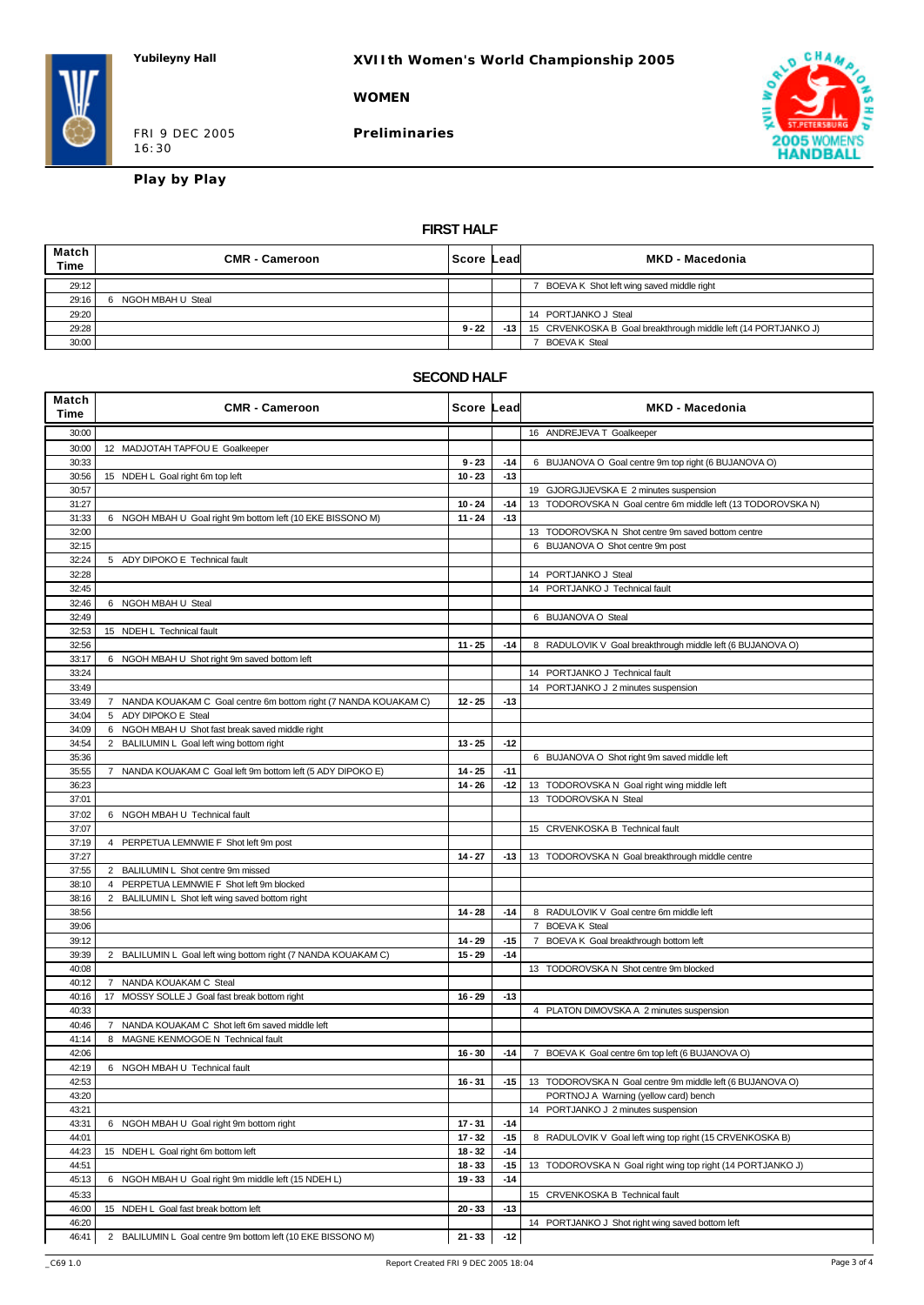#### **WOMEN**

FRI 9 DEC 2005 16:30

**Preliminaries**



**Play by Play**

### **FIRST HALF**

| Match<br><b>Time</b> | <b>CMR - Cameroon</b> | ∣Score Leadl | MKD - Macedonia                                                      |
|----------------------|-----------------------|--------------|----------------------------------------------------------------------|
| 29:12                |                       |              | BOEVA K Shot left wing saved middle right                            |
| 29:16                | 6 NGOH MBAH U Steal   |              |                                                                      |
| 29:20                |                       |              | 14 PORTJANKO J Steal                                                 |
| 29:28                |                       | $9 - 22$     | -13   15 CRVENKOSKA B Goal breakthrough middle left (14 PORTJANKO J) |
| 30:00                |                       |              | <b>BOEVAK Steal</b>                                                  |

#### **SECOND HALF**

| Match<br>Time | <b>CMR - Cameroon</b>                                             | Score Lead |       | <b>MKD - Macedonia</b>                                       |
|---------------|-------------------------------------------------------------------|------------|-------|--------------------------------------------------------------|
| 30:00         |                                                                   |            |       | 16 ANDREJEVA T Goalkeeper                                    |
| 30:00         | 12 MADJOTAH TAPFOU E Goalkeeper                                   |            |       |                                                              |
| 30:33         |                                                                   | $9 - 23$   | $-14$ | 6 BUJANOVA O Goal centre 9m top right (6 BUJANOVA O)         |
| 30:56         | 15 NDEH L Goal right 6m top left                                  | $10 - 23$  | $-13$ |                                                              |
| 30:57         |                                                                   |            |       | 19 GJORGJIJEVSKA E 2 minutes suspension                      |
| 31:27         |                                                                   | $10 - 24$  | $-14$ | 13 TODOROVSKA N Goal centre 6m middle left (13 TODOROVSKA N) |
| 31:33         | 6 NGOH MBAH U Goal right 9m bottom left (10 EKE BISSONO M)        | $11 - 24$  | $-13$ |                                                              |
| 32:00         |                                                                   |            |       | 13 TODOROVSKA N Shot centre 9m saved bottom centre           |
| 32:15         |                                                                   |            |       | 6 BUJANOVA O Shot centre 9m post                             |
| 32:24         | 5 ADY DIPOKO E Technical fault                                    |            |       |                                                              |
| 32:28         |                                                                   |            |       | 14 PORTJANKO J Steal                                         |
| 32:45         |                                                                   |            |       | 14 PORTJANKO J Technical fault                               |
| 32:46         | 6 NGOH MBAH U Steal                                               |            |       |                                                              |
| 32:49         |                                                                   |            |       | 6 BUJANOVA O Steal                                           |
| 32:53         | 15 NDEH L Technical fault                                         |            |       |                                                              |
| 32:56         |                                                                   | $11 - 25$  | $-14$ | 8 RADULOVIK V Goal breakthrough middle left (6 BUJANOVA O)   |
| 33:17         | 6 NGOH MBAH U Shot right 9m saved bottom left                     |            |       |                                                              |
| 33:24         |                                                                   |            |       | 14 PORTJANKO J Technical fault                               |
| 33:49         |                                                                   |            |       | 14 PORTJANKO J 2 minutes suspension                          |
| 33:49         | 7 NANDA KOUAKAM C Goal centre 6m bottom right (7 NANDA KOUAKAM C) | $12 - 25$  | $-13$ |                                                              |
| 34:04         | 5 ADY DIPOKO E Steal                                              |            |       |                                                              |
| 34:09         | 6 NGOH MBAH U Shot fast break saved middle right                  |            |       |                                                              |
| 34:54         | 2 BALILUMIN L Goal left wing bottom right                         | $13 - 25$  | $-12$ |                                                              |
| 35:36         |                                                                   |            |       | 6 BUJANOVA O Shot right 9m saved middle left                 |
| 35:55         | 7 NANDA KOUAKAM C Goal left 9m bottom left (5 ADY DIPOKO E)       | $14 - 25$  | $-11$ |                                                              |
| 36:23         |                                                                   | $14 - 26$  | $-12$ | 13 TODOROVSKA N Goal right wing middle left                  |
| 37:01         |                                                                   |            |       | 13 TODOROVSKA N Steal                                        |
| 37:02         | 6 NGOH MBAH U Technical fault                                     |            |       |                                                              |
| 37:07         |                                                                   |            |       | 15 CRVENKOSKA B Technical fault                              |
| 37:19         | 4 PERPETUA LEMNWIE F Shot left 9m post                            |            |       |                                                              |
| 37:27         |                                                                   | $14 - 27$  | $-13$ | 13 TODOROVSKA N Goal breakthrough middle centre              |
| 37:55         | 2 BALILUMIN L Shot centre 9m missed                               |            |       |                                                              |
| 38:10         | PERPETUA LEMNWIE F Shot left 9m blocked<br>$\overline{4}$         |            |       |                                                              |
| 38:16         | 2 BALILUMIN L Shot left wing saved bottom right                   |            |       |                                                              |
| 38:56         |                                                                   | $14 - 28$  | $-14$ | 8 RADULOVIK V Goal centre 6m middle left                     |
| 39:06         |                                                                   |            |       | 7 BOEVA K Steal                                              |
| 39:12         |                                                                   | $14 - 29$  | -15   | 7 BOEVA K Goal breakthrough bottom left                      |
| 39:39         | 2 BALILUMIN L Goal left wing bottom right (7 NANDA KOUAKAM C)     | $15 - 29$  | $-14$ |                                                              |
| 40:08         |                                                                   |            |       | 13 TODOROVSKA N Shot centre 9m blocked                       |
| 40:12         | 7 NANDA KOUAKAM C Steal                                           |            |       |                                                              |
| 40:16         | 17 MOSSY SOLLE J Goal fast break bottom right                     | $16 - 29$  | $-13$ |                                                              |
| 40:33         |                                                                   |            |       | 4 PLATON DIMOVSKA A 2 minutes suspension                     |
| 40:46         | NANDA KOUAKAM C Shot left 6m saved middle left<br>7               |            |       |                                                              |
| 41:14         | 8 MAGNE KENMOGOE N Technical fault                                |            |       |                                                              |
| 42:06         |                                                                   | $16 - 30$  | $-14$ | 7 BOEVA K Goal centre 6m top left (6 BUJANOVA O)             |
| 42:19         | 6 NGOH MBAH U Technical fault                                     |            |       |                                                              |
| 42:53         |                                                                   | $16 - 31$  | -15   | 13 TODOROVSKA N Goal centre 9m middle left (6 BUJANOVA O)    |
| 43:20         |                                                                   |            |       | PORTNOJ A Warning (yellow card) bench                        |
| 43:21         |                                                                   |            |       | 14 PORTJANKO J 2 minutes suspension                          |
| 43:31         | 6 NGOH MBAH U Goal right 9m bottom right                          | $17 - 31$  | $-14$ |                                                              |
| 44:01         |                                                                   | $17 - 32$  | $-15$ | 8 RADULOVIK V Goal left wing top right (15 CRVENKOSKA B)     |
| 44:23         | 15 NDEH L Goal right 6m bottom left                               | $18 - 32$  | $-14$ |                                                              |
| 44:51         |                                                                   | $18 - 33$  | $-15$ | 13 TODOROVSKA N Goal right wing top right (14 PORTJANKO J)   |
| 45:13         | 6 NGOH MBAH U Goal right 9m middle left (15 NDEH L)               | $19 - 33$  | $-14$ |                                                              |
| 45:33         |                                                                   |            |       | 15 CRVENKOSKA B Technical fault                              |
| 46:00         | 15 NDEH L Goal fast break bottom left                             | $20 - 33$  | $-13$ |                                                              |
| 46:20         |                                                                   |            |       | 14 PORTJANKO J Shot right wing saved bottom left             |
| 46:41         | 2 BALILUMIN L Goal centre 9m bottom left (10 EKE BISSONO M)       | $21 - 33$  | $-12$ |                                                              |